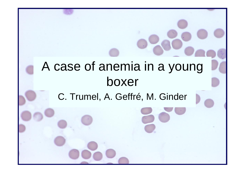# A case of anemia in a young boxer

#### C. Trumel, A. Geffré, M. Ginder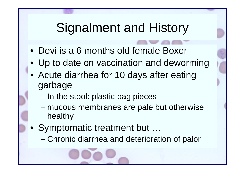## Signalment and History

- Devi is a 6 months old female Boxer
- Up to date on vaccination and deworming
- Acute diarrhea for 10 days after eating garbage
	- –In the stool: plastic bag pieces
	- mucous membranes are pale but otherwise healthy
- Symptomatic treatment but …
	- –Chronic diarrhea and deterioration of palor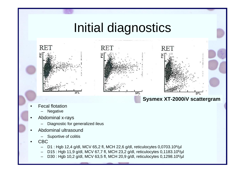

- • CBC
	- D1 : Hgb 12,4 g/dl, MCV 65,2 fl, MCH 22,6 g/dl, reticulocytes 0,0703.106/µl
	- D15 : Hgb 11,9 g/dl, MCV 67,7 fl, MCH 23,2 g/dl, reticulocytes 0,1183.106/µl
	- D30 : Hgb 10,2 g/dl, MCV 63,5 fl, MCH 20,9 g/dl, reticulocytes 0,1298.106/µl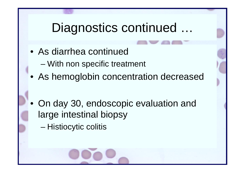## Diagnostics continued ...

- As diarrhea continued
	- –With non specific treatment
- As hemoglobin concentration decreased
- On day 30, endoscopic evaluation and large intestinal biopsy
	- –Histiocytic colitis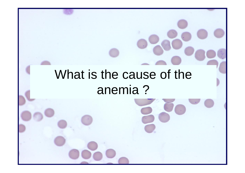## What is the cause of the anemia ?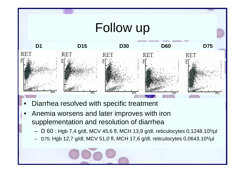

- •Diarrhea resolved with specific treatment
- • Anemia worsens and later improves with iron supplementation and resolution of diarrhea
	- –D 60 : Hgb 7,4 g/dl, MCV 45,6 fl, MCH 13,9 g/dl, reticulocytes 0,1248.106/µl
	- –D75: Hgb 12,7 g/dl, MCV 51,0 fl, MCH 17,6 g/dl, reticulocytes 0,0643.106/µl